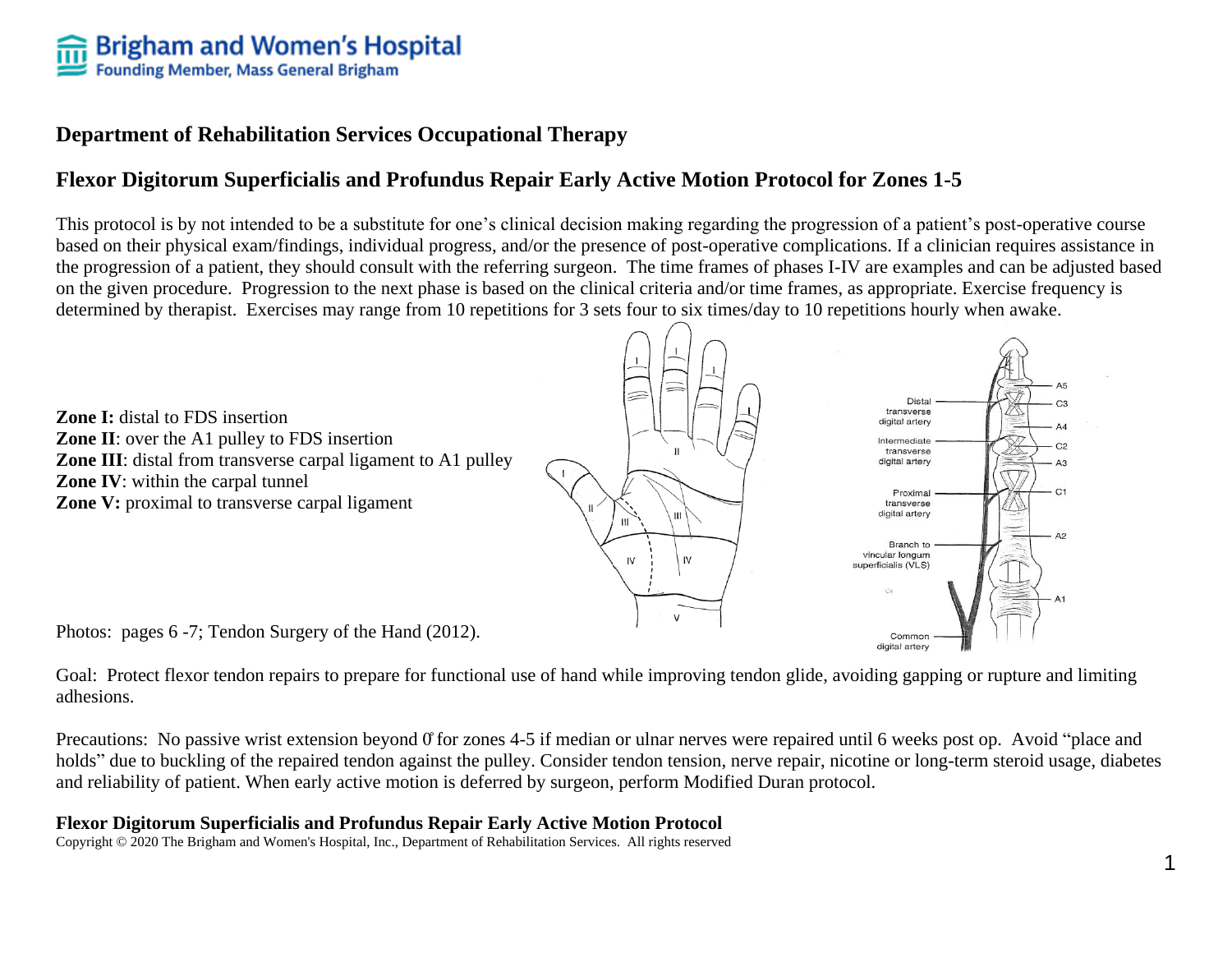# **Department of Rehabilitation Services Occupational Therapy**

# **Flexor Digitorum Superficialis and Profundus Repair Early Active Motion Protocol for Zones 1-5**

This protocol is by not intended to be a substitute for one's clinical decision making regarding the progression of a patient's post-operative course based on their physical exam/findings, individual progress, and/or the presence of post-operative complications. If a clinician requires assistance in the progression of a patient, they should consult with the referring surgeon. The time frames of phases I-IV are examples and can be adjusted based on the given procedure. Progression to the next phase is based on the clinical criteria and/or time frames, as appropriate. Exercise frequency is determined by therapist. Exercises may range from 10 repetitions for 3 sets four to six times/day to 10 repetitions hourly when awake.



Goal: Protect flexor tendon repairs to prepare for functional use of hand while improving tendon glide, avoiding gapping or rupture and limiting adhesions.

Precautions: No passive wrist extension beyond 0 for zones 4-5 if median or ulnar nerves were repaired until 6 weeks post op. Avoid "place and holds" due to buckling of the repaired tendon against the pulley. Consider tendon tension, nerve repair, nicotine or long-term steroid usage, diabetes and reliability of patient. When early active motion is deferred by surgeon, perform Modified Duran protocol.

## **Flexor Digitorum Superficialis and Profundus Repair Early Active Motion Protocol**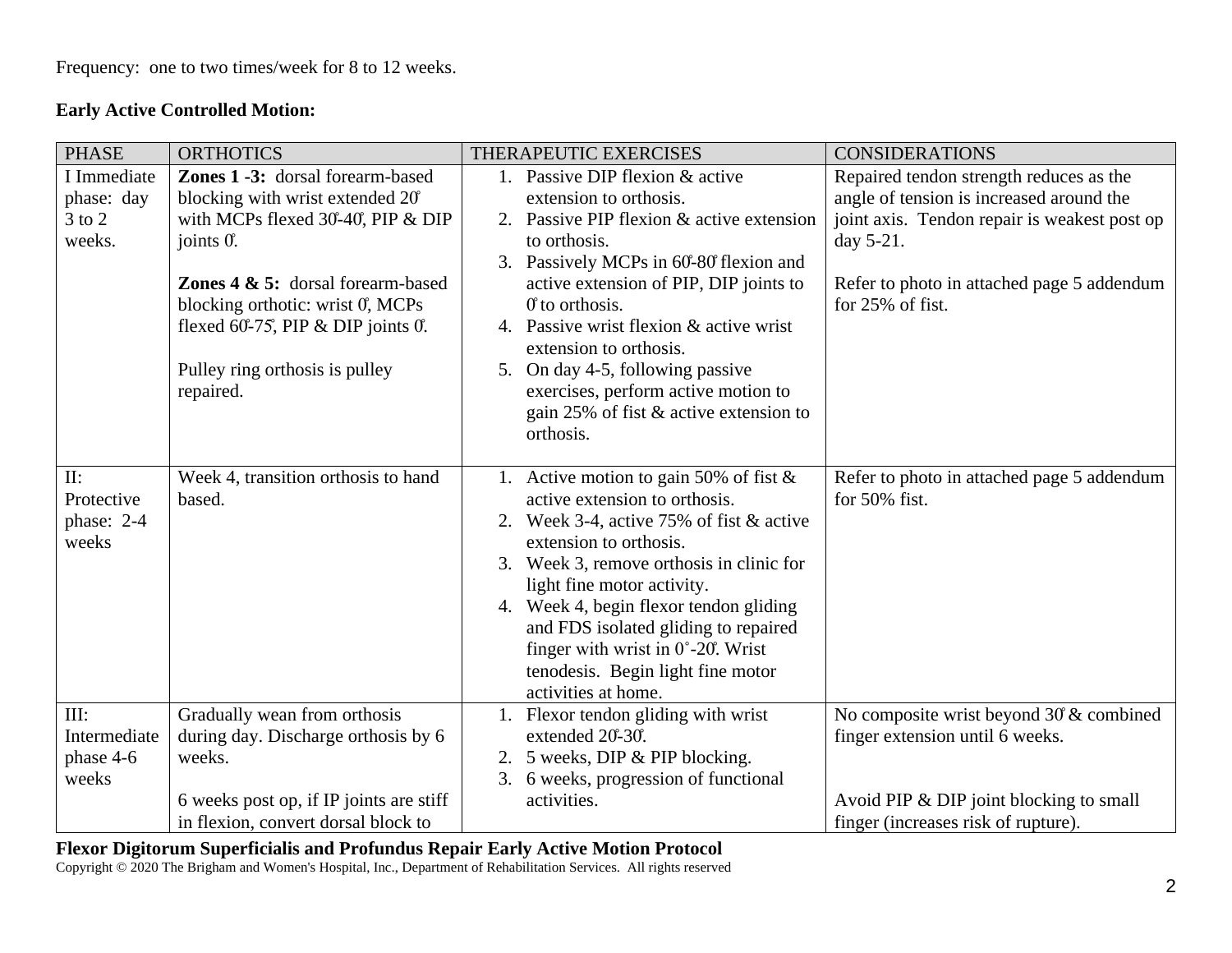## **Early Active Controlled Motion:**

| <b>PHASE</b> | <b>ORTHOTICS</b>                             | THERAPEUTIC EXERCISES                        | <b>CONSIDERATIONS</b>                        |
|--------------|----------------------------------------------|----------------------------------------------|----------------------------------------------|
| I Immediate  | Zones 1 -3: dorsal forearm-based             | 1. Passive DIP flexion & active              | Repaired tendon strength reduces as the      |
| phase: day   | blocking with wrist extended 20°             | extension to orthosis.                       | angle of tension is increased around the     |
| $3$ to $2$   | with MCPs flexed 30-40, PIP & DIP            | 2. Passive PIP flexion & active extension    | joint axis. Tendon repair is weakest post op |
| weeks.       | joints $0$ .                                 | to orthosis.                                 | day $5-21$ .                                 |
|              |                                              | Passively MCPs in 60-80 flexion and<br>3.    |                                              |
|              | <b>Zones 4 &amp; 5:</b> dorsal forearm-based | active extension of PIP, DIP joints to       | Refer to photo in attached page 5 addendum   |
|              | blocking orthotic: wrist 0, MCPs             | $\theta$ to orthosis.                        | for 25% of fist.                             |
|              | flexed 60-75, PIP $\&$ DIP joints 0.         | 4. Passive wrist flexion & active wrist      |                                              |
|              |                                              | extension to orthosis.                       |                                              |
|              | Pulley ring orthosis is pulley               | 5. On day 4-5, following passive             |                                              |
|              | repaired.                                    | exercises, perform active motion to          |                                              |
|              |                                              | gain 25% of fist & active extension to       |                                              |
|              |                                              | orthosis.                                    |                                              |
|              |                                              |                                              |                                              |
| II:          | Week 4, transition orthosis to hand          | 1. Active motion to gain 50% of fist $\&$    | Refer to photo in attached page 5 addendum   |
| Protective   | based.                                       | active extension to orthosis.                | for $50\%$ fist.                             |
| phase: 2-4   |                                              | 2. Week 3-4, active 75% of fist $&$ active   |                                              |
| weeks        |                                              | extension to orthosis.                       |                                              |
|              |                                              | Week 3, remove orthosis in clinic for<br>3.  |                                              |
|              |                                              | light fine motor activity.                   |                                              |
|              |                                              | 4. Week 4, begin flexor tendon gliding       |                                              |
|              |                                              | and FDS isolated gliding to repaired         |                                              |
|              |                                              | finger with wrist in $0^{\circ}$ -20°. Wrist |                                              |
|              |                                              | tenodesis. Begin light fine motor            |                                              |
|              |                                              | activities at home.                          |                                              |
| III:         | Gradually wean from orthosis                 | 1. Flexor tendon gliding with wrist          | No composite wrist beyond 30 & combined      |
| Intermediate | during day. Discharge orthosis by 6          | extended 20-30.                              | finger extension until 6 weeks.              |
| phase 4-6    | weeks.                                       | 2. 5 weeks, DIP & PIP blocking.              |                                              |
| weeks        |                                              | 6 weeks, progression of functional<br>3.     |                                              |
|              | 6 weeks post op, if IP joints are stiff      | activities.                                  | Avoid PIP & DIP joint blocking to small      |
|              | in flexion, convert dorsal block to          |                                              | finger (increases risk of rupture).          |

#### **Flexor Digitorum Superficialis and Profundus Repair Early Active Motion Protocol**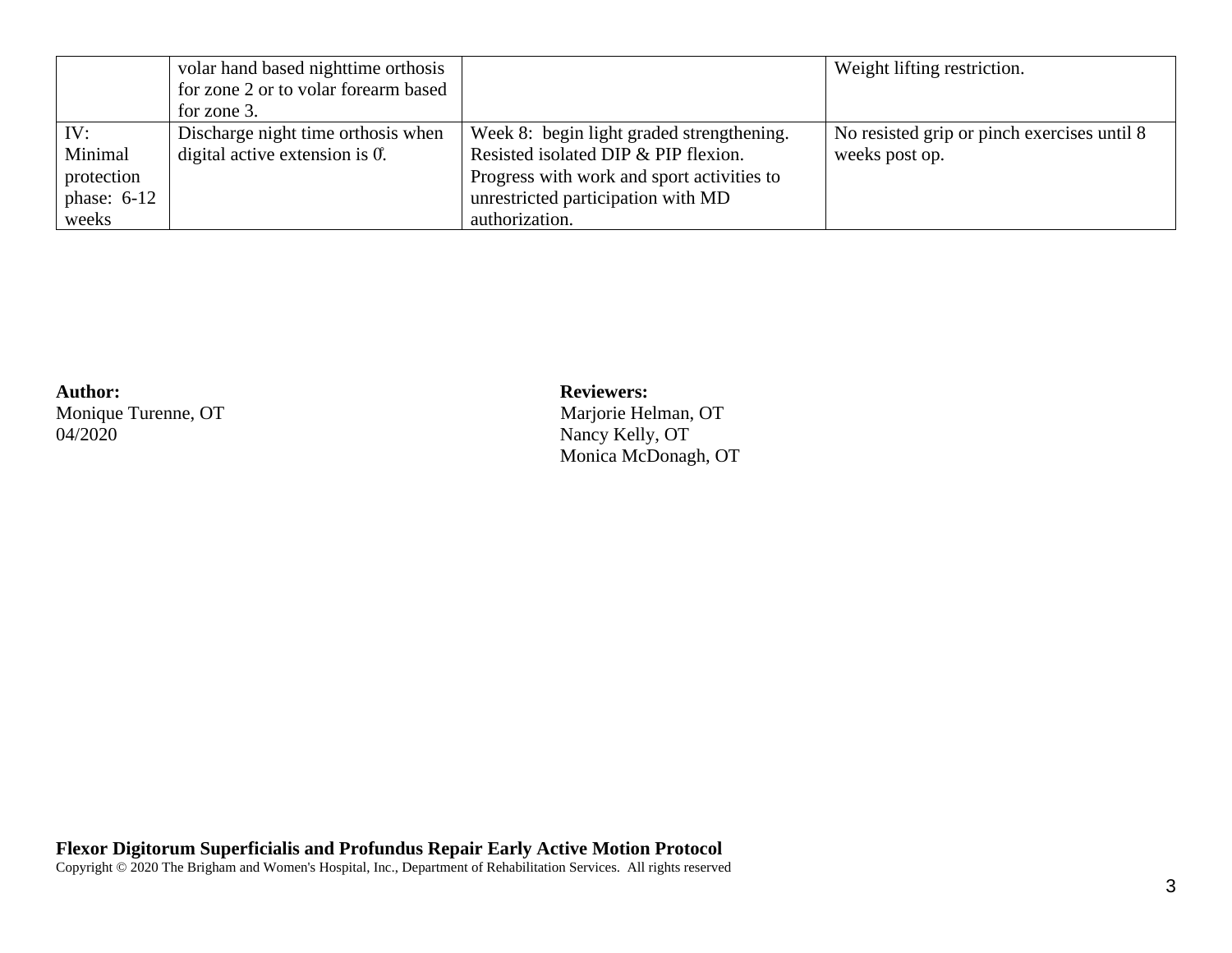|               | volar hand based nighttime orthosis  |                                            | Weight lifting restriction.                 |
|---------------|--------------------------------------|--------------------------------------------|---------------------------------------------|
|               | for zone 2 or to volar forearm based |                                            |                                             |
|               | for zone 3.                          |                                            |                                             |
| IV:           | Discharge night time orthosis when   | Week 8: begin light graded strengthening.  | No resisted grip or pinch exercises until 8 |
| Minimal       | digital active extension is $0$ .    | Resisted isolated DIP & PIP flexion.       | weeks post op.                              |
| protection    |                                      | Progress with work and sport activities to |                                             |
| phase: $6-12$ |                                      | unrestricted participation with MD         |                                             |
| weeks         |                                      | authorization.                             |                                             |

Monique Turenne, OT<br>04/2020

# Author: **Reviewers: Reviewers: Reviewers: Reviewers: Marjorie Helman, OT** Nancy Kelly, OT Monica McDonagh, OT

**Flexor Digitorum Superficialis and Profundus Repair Early Active Motion Protocol**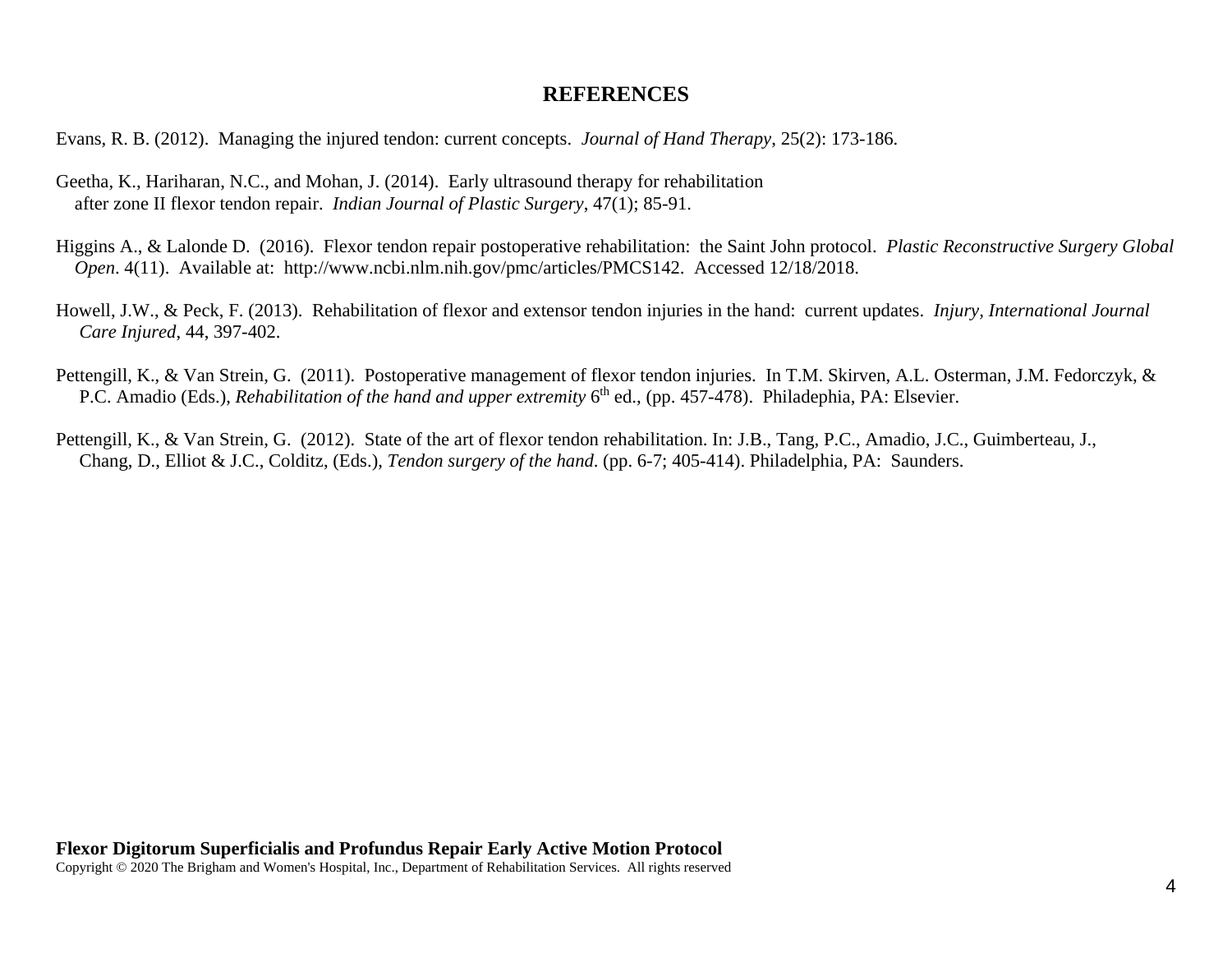### **REFERENCES**

Evans, R. B. (2012). Managing the injured tendon: current concepts. *Journal of Hand Therapy*, 25(2): 173-186.

- Geetha, K., Hariharan, N.C., and Mohan, J. (2014). Early ultrasound therapy for rehabilitation after zone II flexor tendon repair. *Indian Journal of Plastic Surgery*, 47(1); 85-91.
- Higgins A., & Lalonde D. (2016). Flexor tendon repair postoperative rehabilitation: the Saint John protocol. *Plastic Reconstructive Surgery Global Open*. 4(11). Available at: http://www.ncbi.nlm.nih.gov/pmc/articles/PMCS142. Accessed 12/18/2018.
- Howell, J.W., & Peck, F. (2013). Rehabilitation of flexor and extensor tendon injuries in the hand: current updates. *Injury, International Journal Care Injured*, 44, 397-402.
- Pettengill, K., & Van Strein, G. (2011). Postoperative management of flexor tendon injuries. In T.M. Skirven, A.L. Osterman, J.M. Fedorczyk, & P.C. Amadio (Eds.), *Rehabilitation of the hand and upper extremity* 6<sup>th</sup> ed., (pp. 457-478). Philadephia, PA: Elsevier.
- Pettengill, K., & Van Strein, G. (2012). State of the art of flexor tendon rehabilitation. In: J.B., Tang, P.C., Amadio, J.C., Guimberteau, J., Chang, D., Elliot & J.C., Colditz, (Eds.), *Tendon surgery of the hand*. (pp. 6-7; 405-414). Philadelphia, PA: Saunders.